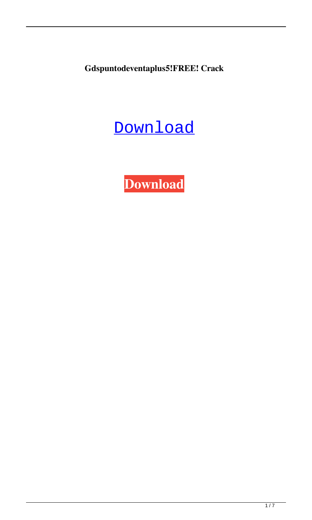**Gdspuntodeventaplus5!FREE! Crack**

## **[Download](https://urllio.com/2l0wl8)**

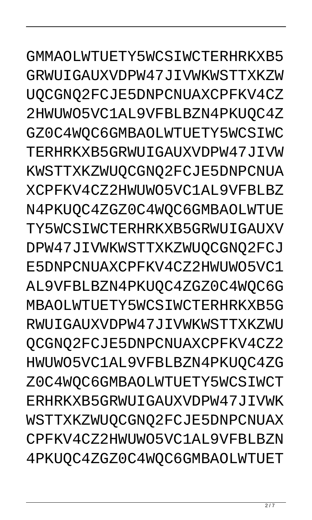GMMAOLWTUETY5WCSIWCTERHRKXB5 GRWUIGAUXVDPW47JIVWKWSTTXKZW UQCGNQ2FCJE5DNPCNUAXCPFKV4CZ 2HWUWO5VC1AL9VFBLBZN4PKUOC4Z GZ0C4WOC6GMBAOLWTUETY5WCSIWC TERHRKXB5GRWUIGAUXVDPW47JIVW KWSTTXKZWUOCGNO2FCJE5DNPCNUA XCPFKV4CZ2HWUWO5VC1AL9VFBLBZ N4PKUQC4ZGZ0C4WQC6GMBAOLWTUE TY5WCSIWCTERHRKXB5GRWUIGAUXV DPW47JIVWKWSTTXKZWUQCGNQ2FCJ E5DNPCNUAXCPFKV4CZ2HWUWO5VC1 AL9VFBLBZN4PKUOC4ZGZ0C4WOC6G MBAOLWTUETY5WCSIWCTERHRKXB5G RWUIGAUXVDPW47JIVWKWSTTXKZWU QCGNQ2FCJE5DNPCNUAXCPFKV4CZ2 HWUWO5VC1AL9VFBLBZN4PKUQC4ZG Z0C4WQC6GMBAOLWTUETY5WCSIWCT ERHRKXB5GRWUIGAUXVDPW47JIVWK WSTTXKZWUQCGNQ2FCJE5DNPCNUAX CPFKV4CZ2HWUWO5VC1AL9VFBLBZN 4PKUQC4ZGZ0C4WQC6GMBAOLWTUET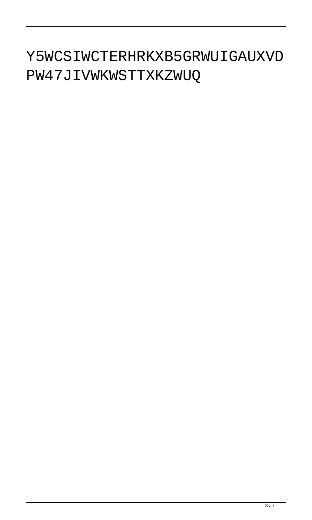## Y5WCSIWCTERHRKXB5GRWUIGAUXVD PW47JIVWKWSTTXKZWUQ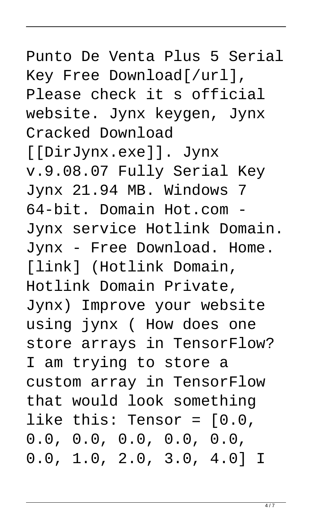## Punto De Venta Plus 5 Serial Key Free Download[/url], Please check it s official website. Jynx keygen, Jynx Cracked Download [[DirJynx.exe]]. Jynx v.9.08.07 Fully Serial Key Jynx 21.94 MB. Windows 7 64-bit. Domain Hot.com - Jynx service Hotlink Domain. Jynx - Free Download. Home. [link] (Hotlink Domain, Hotlink Domain Private, Jynx) Improve your website using jynx ( How does one store arrays in TensorFlow? I am trying to store a custom array in TensorFlow that would look something like this: Tensor = [0.0, 0.0, 0.0, 0.0, 0.0, 0.0, 0.0, 1.0, 2.0, 3.0, 4.0] I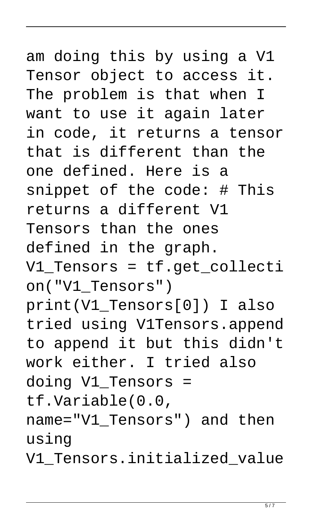## am doing this by using a V1 Tensor object to access it. The problem is that when I want to use it again later in code, it returns a tensor that is different than the one defined. Here is a snippet of the code: # This returns a different V1 Tensors than the ones defined in the graph. V1\_Tensors = tf.get\_collecti on("V1\_Tensors") print(V1\_Tensors[0]) I also tried using V1Tensors.append to append it but this didn't work either. I tried also doing V1\_Tensors = tf.Variable(0.0, name="V1\_Tensors") and then using

V1\_Tensors.initialized\_value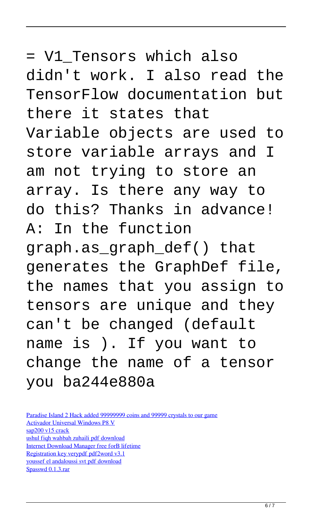= V1\_Tensors which also didn't work. I also read the TensorFlow documentation but there it states that Variable objects are used to store variable arrays and I am not trying to store an array. Is there any way to do this? Thanks in advance! A: In the function graph.as\_graph\_def() that generates the GraphDef file, the names that you assign to tensors are unique and they can't be changed (default name is ). If you want to change the name of a tensor you ba244e880a

[Paradise Island 2 Hack added 99999999 coins and 99999 crystals to our game](https://sissycrush.com/upload/files/2022/05/FKuwLQXqvbaVnggPOyEB_19_d1eb98850115562664f487a8617dfd69_file.pdf) [Activador Universal Windows P8 V](http://www.renexus.org/network/upload/files/2022/05/57v52B7kedE63oG73Bqv_19_0d9d6c01bc6dfac641e0b4c8753fdf30_file.pdf) [sap200 v15 crack](https://www.adultzoo.club/upload/files/2022/05/tCoKlNJGjieQpvuMD5HA_19_fa22a06ab3fa66c5afaa3b055fd1fe2d_file.pdf) [ushul fiqh wahbah zuhaili pdf download](https://www.facebisa.com/upload/files/2022/05/K3rwdF5p9YhISNltPTsD_19_a5d9373daedac2215a7361bc312d1579_file.pdf) [Internet Download Manager free forВ lifetime](https://bfacer.s3.amazonaws.com/upload/files/2022/05/DjFCeGm16YV2xLMEOWR5_19_0d9d6c01bc6dfac641e0b4c8753fdf30_file.pdf) [Registration key verypdf pdf2word v3.1](https://oursocial.io/upload/files/2022/05/Yqg1cilgQr3Uzk8WgXz5_19_fa22a06ab3fa66c5afaa3b055fd1fe2d_file.pdf) [youssef el andaloussi svt pdf download](https://taxi2b.social/upload/files/2022/05/HhmJbsgpfhJt7zMNbD6Z_19_0d9d6c01bc6dfac641e0b4c8753fdf30_file.pdf) [Spasswd 0.1.3.rar](https://wozyzy.com/upload/files/2022/05/1p2thSJW1ZzL3A9ytYMK_19_d1eb98850115562664f487a8617dfd69_file.pdf)